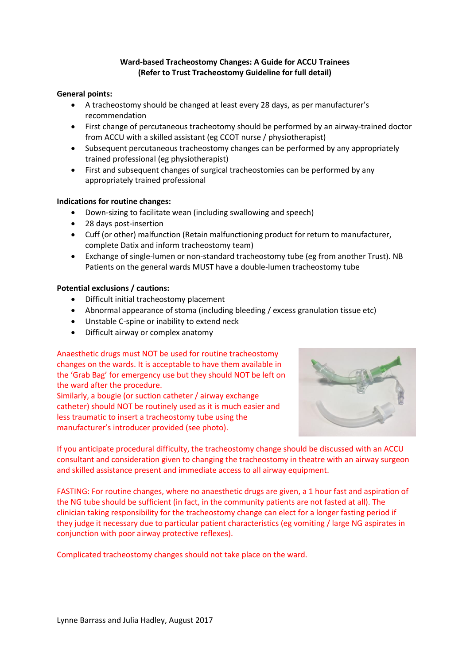# **Ward-based Tracheostomy Changes: A Guide for ACCU Trainees (Refer to Trust Tracheostomy Guideline for full detail)**

#### **General points:**

- A tracheostomy should be changed at least every 28 days, as per manufacturer's recommendation
- First change of percutaneous tracheotomy should be performed by an airway-trained doctor from ACCU with a skilled assistant (eg CCOT nurse / physiotherapist)
- Subsequent percutaneous tracheostomy changes can be performed by any appropriately trained professional (eg physiotherapist)
- First and subsequent changes of surgical tracheostomies can be performed by any appropriately trained professional

### **Indications for routine changes:**

- Down-sizing to facilitate wean (including swallowing and speech)
- 28 days post-insertion
- Cuff (or other) malfunction (Retain malfunctioning product for return to manufacturer, complete Datix and inform tracheostomy team)
- Exchange of single-lumen or non-standard tracheostomy tube (eg from another Trust). NB Patients on the general wards MUST have a double-lumen tracheostomy tube

### **Potential exclusions / cautions:**

- Difficult initial tracheostomy placement
- Abnormal appearance of stoma (including bleeding / excess granulation tissue etc)
- Unstable C-spine or inability to extend neck
- Difficult airway or complex anatomy

# Anaesthetic drugs must NOT be used for routine tracheostomy

changes on the wards. It is acceptable to have them available in the 'Grab Bag' for emergency use but they should NOT be left on the ward after the procedure.

Similarly, a bougie (or suction catheter / airway exchange catheter) should NOT be routinely used as it is much easier and less traumatic to insert a tracheostomy tube using the manufacturer's introducer provided (see photo).



If you anticipate procedural difficulty, the tracheostomy change should be discussed with an ACCU consultant and consideration given to changing the tracheostomy in theatre with an airway surgeon and skilled assistance present and immediate access to all airway equipment.

FASTING: For routine changes, where no anaesthetic drugs are given, a 1 hour fast and aspiration of the NG tube should be sufficient (in fact, in the community patients are not fasted at all). The clinician taking responsibility for the tracheostomy change can elect for a longer fasting period if they judge it necessary due to particular patient characteristics (eg vomiting / large NG aspirates in conjunction with poor airway protective reflexes).

Complicated tracheostomy changes should not take place on the ward.